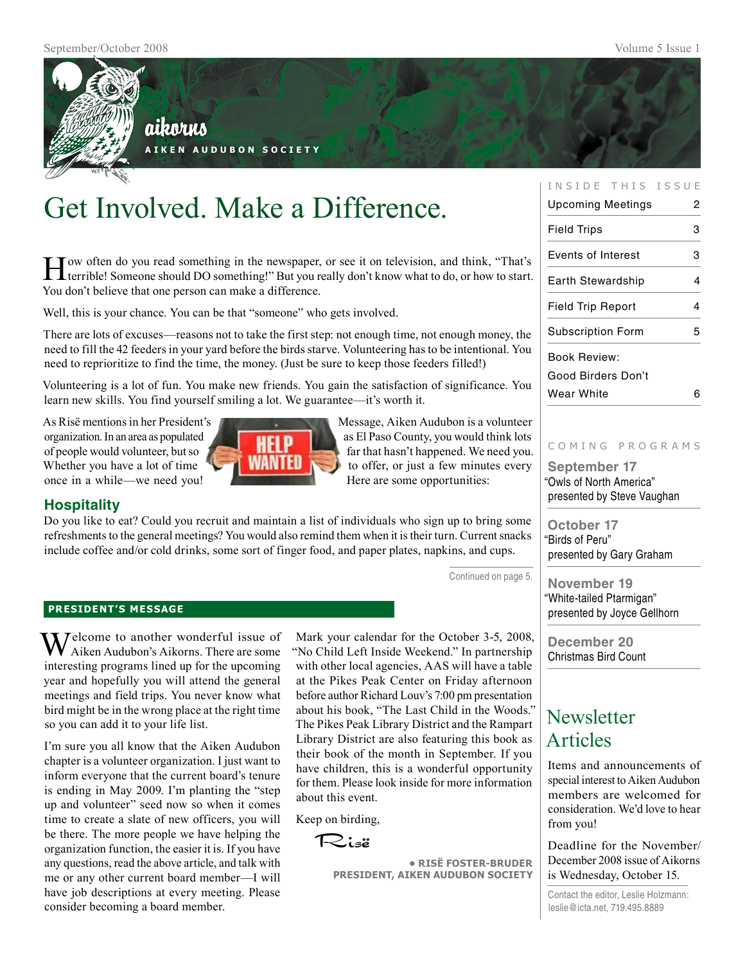

## aikorus

**A i k e n A u d u b o n S o c i e t y**

# Get Involved. Make a Difference.

How often do you read something in the newspaper, or see it on television, and think, "That's terrible! Someone should DO something!" But you really don't know what to do, or how to start. You don't believe that one person can make a difference.

Well, this is your chance. You can be that "someone" who gets involved.

There are lots of excuses—reasons not to take the first step: not enough time, not enough money, the need to fill the 42 feeders in your yard before the birds starve. Volunteering has to be intentional. You need to reprioritize to find the time, the money. (Just be sure to keep those feeders filled!)

Volunteering is a lot of fun. You make new friends. You gain the satisfaction of significance. You learn new skills. You find yourself smiling a lot. We guarantee—it's worth it.

As Risë mentions in her President's Message, Aiken Audubon is a volunteer once in a while—we need you! Here are some opportunities:



organization. In an area as populated as El Paso County, you would think lots of people would volunteer, but so **faither faither** far that hasn't happened. We need you. Whether you have a lot of time  $\Box$  WHITELET to offer, or just a few minutes every

### **Hospitality**

Do you like to eat? Could you recruit and maintain a list of individuals who sign up to bring some refreshments to the general meetings? You would also remind them when it is their turn. Current snacks include coffee and/or cold drinks, some sort of finger food, and paper plates, napkins, and cups.

Continued on page 5.

#### **president's message**

 $\sum$  Jelcome to another wonderful issue of Aiken Audubon's Aikorns. There are some interesting programs lined up for the upcoming year and hopefully you will attend the general meetings and field trips. You never know what bird might be in the wrong place at the right time so you can add it to your life list.

I'm sure you all know that the Aiken Audubon chapter is a volunteer organization. I just want to inform everyone that the current board's tenure is ending in May 2009. I'm planting the "step up and volunteer" seed now so when it comes time to create a slate of new officers, you will be there. The more people we have helping the organization function, the easier it is. If you have any questions, read the above article, and talk with me or any other current board member—I will have job descriptions at every meeting. Please consider becoming a board member.

Mark your calendar for the October 3-5, 2008, "No Child Left Inside Weekend." In partnership with other local agencies, AAS will have a table at the Pikes Peak Center on Friday afternoon before author Richard Louv's 7:00 pm presentation about his book, "The Last Child in the Woods." The Pikes Peak Library District and the Rampart Library District are also featuring this book as their book of the month in September. If you have children, this is a wonderful opportunity for them. Please look inside for more information about this event.

Keep on birding,

Risë

**• RisË Foster-Bruder President, Aiken Audubon Society**

#### INSIDE THIS ISSUE

| Upcoming Meetings         | 2 |
|---------------------------|---|
| Field Trips               | 3 |
| <b>Events of Interest</b> | 3 |
| Earth Stewardship         | 4 |
| <b>Field Trip Report</b>  | 4 |
| Subscription Form         | 5 |
| Book Review:              |   |
| Good Birders Don't        |   |
| Wear White                | 6 |
|                           |   |

#### c o m i n g p r o g r a m s

**September 17** "Owls of North America" presented by Steve Vaughan

**October 17** "Birds of Peru" presented by Gary Graham

**November 19** "White-tailed Ptarmigan" presented by Joyce Gellhorn

**December 20** Christmas Bird Count

## **Newsletter** Articles

Items and announcements of special interest to Aiken Audubon members are welcomed for consideration. We'd love to hear from you!

Deadline for the November/ December 2008 issue of Aikorns is Wednesday, October 15.

Contact the editor, Leslie Holzmann: leslie@icta.net, 719.495.8889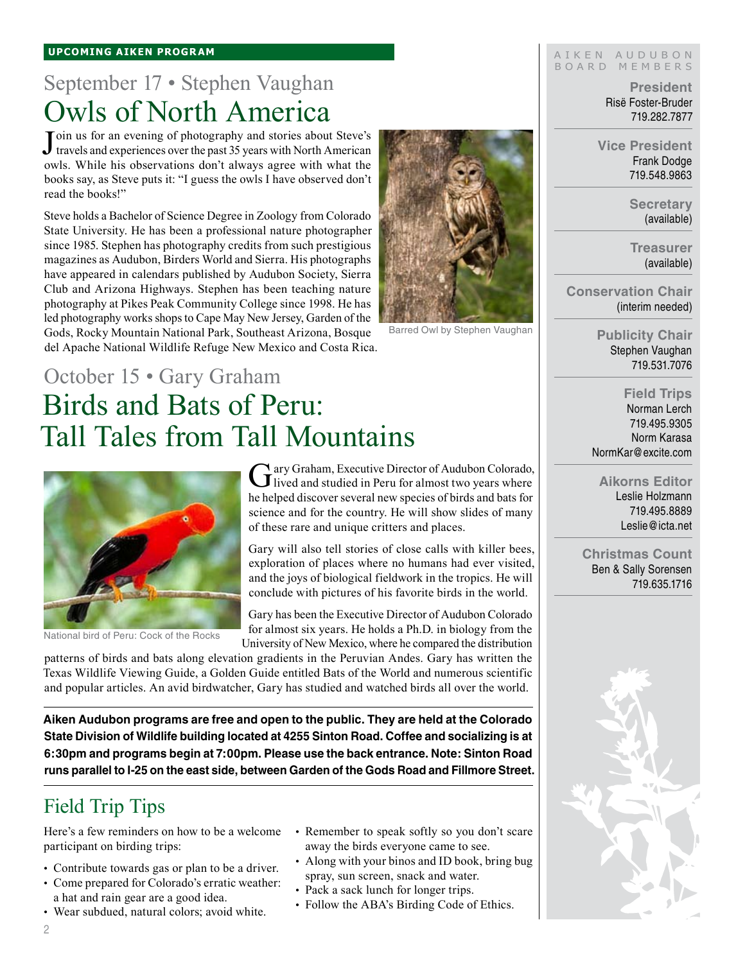## September 17 • Stephen Vaughan Owls of North America

Join us for an evening of photography and stories about Steve's travels and experiences over the past 35 years with North American travels and experiences over the past 35 years with North American owls. While his observations don't always agree with what the books say, as Steve puts it: "I guess the owls I have observed don't read the books!"

Steve holds a Bachelor of Science Degree in Zoology from Colorado State University. He has been a professional nature photographer since 1985. Stephen has photography credits from such prestigious magazines as Audubon, Birders World and Sierra. His photographs have appeared in calendars published by Audubon Society, Sierra Club and Arizona Highways. Stephen has been teaching nature photography at Pikes Peak Community College since 1998. He has led photography works shops to Cape May New Jersey, Garden of the Gods, Rocky Mountain National Park, Southeast Arizona, Bosque del Apache National Wildlife Refuge New Mexico and Costa Rica.



Barred Owl by Stephen Vaughan

## October 15 • Gary Graham Birds and Bats of Peru: Tall Tales from Tall Mountains



National bird of Peru: Cock of the Rocks

Gary Graham, Executive Director of Audubon Colorado, lived and studied in Peru for almost two years where he helped discover several new species of birds and bats for science and for the country. He will show slides of many of these rare and unique critters and places.

Gary will also tell stories of close calls with killer bees, exploration of places where no humans had ever visited, and the joys of biological fieldwork in the tropics. He will conclude with pictures of his favorite birds in the world.

Gary has been the Executive Director of Audubon Colorado for almost six years. He holds a Ph.D. in biology from the University of New Mexico, where he compared the distribution

patterns of birds and bats along elevation gradients in the Peruvian Andes. Gary has written the Texas Wildlife Viewing Guide, a Golden Guide entitled Bats of the World and numerous scientific and popular articles. An avid birdwatcher, Gary has studied and watched birds all over the world.

**Aiken Audubon programs are free and open to the public. They are held at the Colorado State Division of Wildlife building located at 4255 Sinton Road. Coffee and socializing is at 6:30pm and programs begin at 7:00pm. Please use the back entrance. Note: Sinton Road runs parallel to I-25 on the east side, between Garden of the Gods Road and Fillmore Street.**

## Field Trip Tips

Here's a few reminders on how to be a welcome participant on birding trips:

- Contribute towards gas or plan to be a driver. •
- Come prepared for Colorado's erratic weather: a hat and rain gear are a good idea.
- Wear subdued, natural colors; avoid white. •
- - Remember to speak softly so you don't scare away the birds everyone came to see.
	- Along with your binos and ID book, bring bug spray, sun screen, snack and water.
	- Pack a sack lunch for longer trips.
	- Follow the ABA's Birding Code of Ethics.

#### AIKEN AUDUBON B o a r d M e m b e r s

**President** Risë Foster-Bruder 719.282.7877

**Vice President** Frank Dodge 719.548.9863

> **Secretary** (available)

> **Treasurer** (available)

**Conservation Chair** (interim needed)

> **Publicity Chair** Stephen Vaughan 719.531.7076

**Field Trips** Norman Lerch 719.495.9305 Norm Karasa NormKar@excite.com

**Aikorns Editor** Leslie Holzmann 719.495.8889 Leslie@icta.net

**Christmas Count** Ben & Sally Sorensen 719.635.1716



2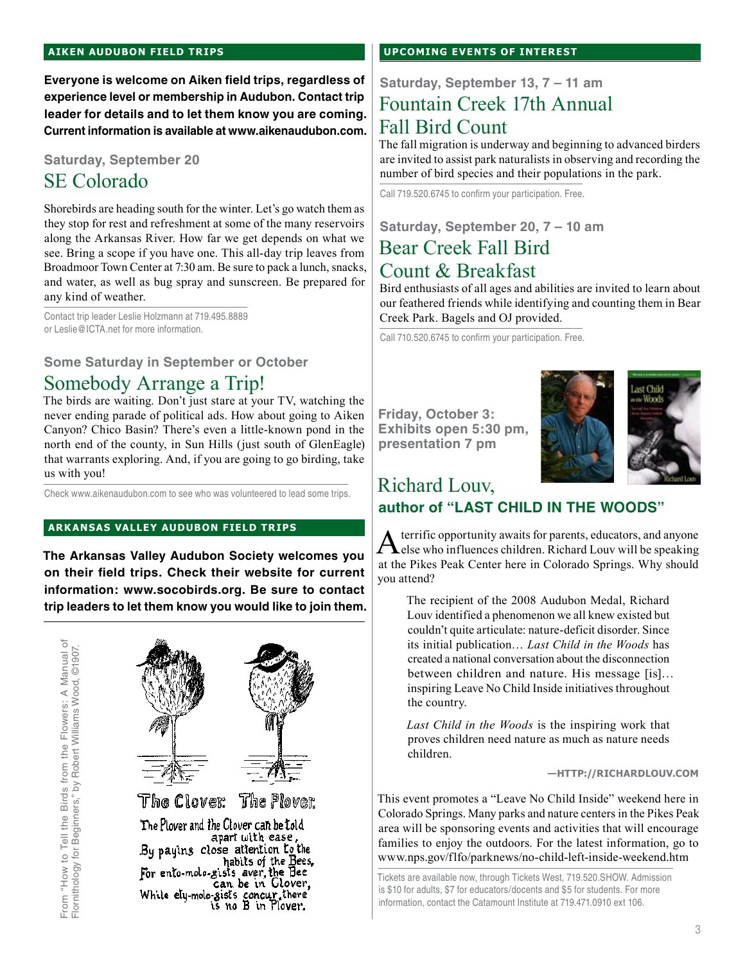#### **aiken audubon FIELD TRIPS**

**Everyone is welcome on Aiken field trips, regardless of experience level or membership in Audubon. Contact trip leader for details and to let them know you are coming. Current information is available at www.aikenaudubon.com.**

#### **Saturday, September 20**

## SE Colorado

Shorebirds are heading south for the winter. Let's go watch them as they stop for rest and refreshment at some of the many reservoirs along the Arkansas River. How far we get depends on what we see. Bring a scope if you have one. This all-day trip leaves from Broadmoor Town Center at 7:30 am. Be sure to pack a lunch, snacks, and water, as well as bug spray and sunscreen. Be prepared for any kind of weather.

Contact trip leader Leslie Holzmann at 719.495.8889 or Leslie@ICTA.net for more information.

### **Some Saturday in September or October**

## Somebody Arrange a Trip!

The birds are waiting. Don't just stare at your TV, watching the never ending parade of political ads. How about going to Aiken Canyon? Chico Basin? There's even a little-known pond in the north end of the county, in Sun Hills (just south of GlenEagle) that warrants exploring. And, if you are going to go birding, take us with you!

Check www.aikenaudubon.com to see who was volunteered to lead some trips.

#### **arkansas valley audubon FIELD TRIPs**

**The Arkansas Valley Audubon Society welcomes you on their field trips. Check their website for current information: www.socobirds.org. Be sure to contact trip leaders to let them know you would like to join them.**



The Plover and the Clover can be told By paying close attention to the<br>By paying close attention to the habits of the Bees,<br>For ento-molo-gists aver, the Bee<br>can be in Glover, While ely-molo-sists concur, there<br>is no B in Plover.

#### **UPCOMING EVENTS OF INTEREST**

## **Saturday, September 13, 7 – 11 am** Fountain Creek 17th Annual Fall Bird Count

The fall migration is underway and beginning to advanced birders are invited to assist park naturalists in observing and recording the number of bird species and their populations in the park.

Call 719.520.6745 to confirm your participation. Free.

## **Saturday, September 20, 7 – 10 am**  Bear Creek Fall Bird Count & Breakfast

Bird enthusiasts of all ages and abilities are invited to learn about our feathered friends while identifying and counting them in Bear Creek Park. Bagels and OJ provided.

Call 710.520.6745 to confirm your participation. Free.

**Friday, October 3: Exhibits open 5:30 pm, presentation 7 pm**



## Richard Louv, **author of "LAST CHILD IN THE WOODS"**

A terrific opportunity awaits for parents, educators, and anyone<br>else who influences children. Richard Louv will be speaking at the Pikes Peak Center here in Colorado Springs. Why should you attend?

The recipient of the 2008 Audubon Medal, Richard Louv identified a phenomenon we all knew existed but couldn't quite articulate: nature-deficit disorder. Since its initial publication… *Last Child in the Woods* has created a national conversation about the disconnection between children and nature. His message [is]… inspiring Leave No Child Inside initiatives throughout the country.

*Last Child in the Woods* is the inspiring work that proves children need nature as much as nature needs children.

**—http://richardlouv.com**

This event promotes a "Leave No Child Inside" weekend here in Colorado Springs. Many parks and nature centers in the Pikes Peak area will be sponsoring events and activities that will encourage families to enjoy the outdoors. For the latest information, go to www.nps.gov/flfo/parknews/no-child-left-inside-weekend.htm

Tickets are available now, through Tickets West, 719.520.SHOW. Admission is \$10 for adults, \$7 for educators/docents and \$5 for students. For more information, contact the Catamount Institute at 719.471.0910 ext 106.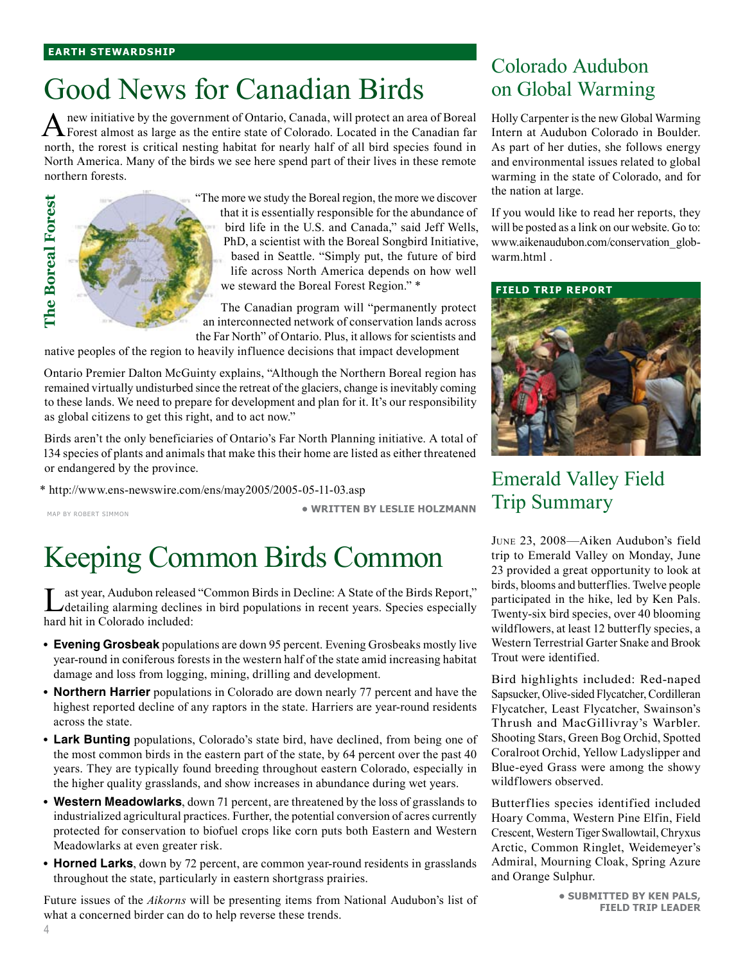# Good News for Canadian Birds

A new initiative by the government of Ontario, Canada, will protect an area of Boreal Forest almost as large as the entire state of Colorado. Located in the Canadian far north, the rorest is critical nesting habitat for nearly half of all bird species found in North America. Many of the birds we see here spend part of their lives in these remote northern forests.

> "The more we study the Boreal region, the more we discover that it is essentially responsible for the abundance of bird life in the U.S. and Canada," said Jeff Wells, PhD, a scientist with the Boreal Songbird Initiative, based in Seattle. "Simply put, the future of bird life across North America depends on how well we steward the Boreal Forest Region." \*

The Canadian program will "permanently protect an interconnected network of conservation lands across the Far North" of Ontario. Plus, it allows for scientists and

native peoples of the region to heavily influence decisions that impact development

Ontario Premier Dalton McGuinty explains, "Although the Northern Boreal region has remained virtually undisturbed since the retreat of the glaciers, change is inevitably coming to these lands. We need to prepare for development and plan for it. It's our responsibility as global citizens to get this right, and to act now."

Birds aren't the only beneficiaries of Ontario's Far North Planning initiative. A total of 134 species of plants and animals that make this their home are listed as either threatened or endangered by the province.

\* http://www.ens-newswire.com/ens/may2005/2005-05-11-03.asp

Map by Robert Simmon

The Boreal Forest **The Boreal Forest**

**• written by Leslie Holzmann**

# Keeping Common Birds Common

Last year, Audubon released "Common Birds in Decline: A State of the Birds Report,"<br>
detailing alarming declines in bird populations in recent years. Species especially hard hit in Colorado included:

- **Evening Grosbeak** populations are down 95 percent. Evening Grosbeaks mostly live **•** year-round in coniferous forests in the western half of the state amid increasing habitat damage and loss from logging, mining, drilling and development.
- **Northern Harrier** populations in Colorado are down nearly 77 percent and have the **•** highest reported decline of any raptors in the state. Harriers are year-round residents across the state.
- **Lark Bunting** populations, Colorado's state bird, have declined, from being one of **•** the most common birds in the eastern part of the state, by 64 percent over the past 40 years. They are typically found breeding throughout eastern Colorado, especially in the higher quality grasslands, and show increases in abundance during wet years.
- **Western Meadowlarks**, down 71 percent, are threatened by the loss of grasslands to **•** industrialized agricultural practices. Further, the potential conversion of acres currently protected for conservation to biofuel crops like corn puts both Eastern and Western Meadowlarks at even greater risk.
- **Horned Larks**, down by 72 percent, are common year-round residents in grasslands **•** throughout the state, particularly in eastern shortgrass prairies.

Future issues of the *Aikorns* will be presenting items from National Audubon's list of what a concerned birder can do to help reverse these trends.

## Colorado Audubon on Global Warming

Holly Carpenter is the new Global Warming Intern at Audubon Colorado in Boulder. As part of her duties, she follows energy and environmental issues related to global warming in the state of Colorado, and for the nation at large.

If you would like to read her reports, they will be posted as a link on our website. Go to: www.aikenaudubon.com/conservation\_globwarm.html .

**field trip report**



## Emerald Valley Field Trip Summary

June 23, 2008—Aiken Audubon's field trip to Emerald Valley on Monday, June 23 provided a great opportunity to look at birds, blooms and butterflies. Twelve people participated in the hike, led by Ken Pals. Twenty-six bird species, over 40 blooming wildflowers, at least 12 butterfly species, a Western Terrestrial Garter Snake and Brook Trout were identified.

Bird highlights included: Red-naped Sapsucker, Olive-sided Flycatcher, Cordilleran Flycatcher, Least Flycatcher, Swainson's Thrush and MacGillivray's Warbler. Shooting Stars, Green Bog Orchid, Spotted Coralroot Orchid, Yellow Ladyslipper and Blue-eyed Grass were among the showy wildflowers observed.

Butterflies species identified included Hoary Comma, Western Pine Elfin, Field Crescent, Western Tiger Swallowtail, Chryxus Arctic, Common Ringlet, Weidemeyer's Admiral, Mourning Cloak, Spring Azure and Orange Sulphur.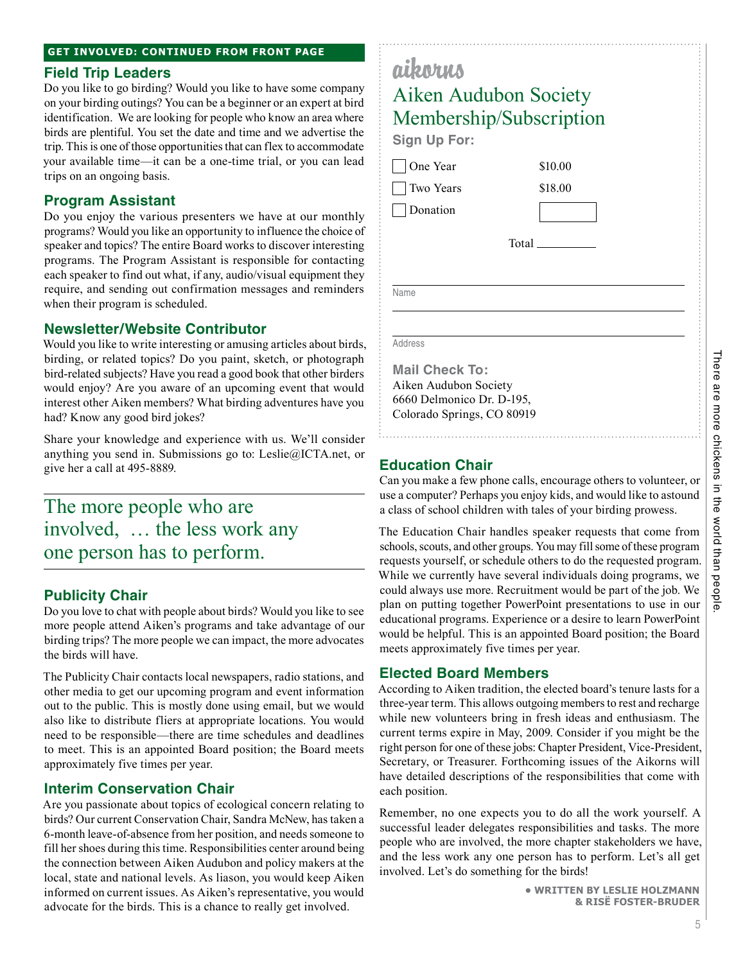#### **Field Trip Leaders**

Do you like to go birding? Would you like to have some company on your birding outings? You can be a beginner or an expert at bird identification. We are looking for people who know an area where birds are plentiful. You set the date and time and we advertise the trip. This is one of those opportunities that can flex to accommodate your available time—it can be a one-time trial, or you can lead trips on an ongoing basis.

## **Program Assistant**

Do you enjoy the various presenters we have at our monthly programs? Would you like an opportunity to influence the choice of speaker and topics? The entire Board works to discover interesting programs. The Program Assistant is responsible for contacting each speaker to find out what, if any, audio/visual equipment they require, and sending out confirmation messages and reminders when their program is scheduled.

## **Newsletter/Website Contributor**

Would you like to write interesting or amusing articles about birds, birding, or related topics? Do you paint, sketch, or photograph bird-related subjects? Have you read a good book that other birders would enjoy? Are you aware of an upcoming event that would interest other Aiken members? What birding adventures have you had? Know any good bird jokes?

Share your knowledge and experience with us. We'll consider anything you send in. Submissions go to: Leslie@ICTA.net, or give her a call at 495-8889.

## The more people who are involved, … the less work any one person has to perform.

## **Publicity Chair**

Do you love to chat with people about birds? Would you like to see more people attend Aiken's programs and take advantage of our birding trips? The more people we can impact, the more advocates the birds will have.

The Publicity Chair contacts local newspapers, radio stations, and other media to get our upcoming program and event information out to the public. This is mostly done using email, but we would also like to distribute fliers at appropriate locations. You would need to be responsible—there are time schedules and deadlines to meet. This is an appointed Board position; the Board meets approximately five times per year.

## **Interim Conservation Chair**

Are you passionate about topics of ecological concern relating to birds? Our current Conservation Chair, Sandra McNew, has taken a 6-month leave-of-absence from her position, and needs someone to fill her shoes during this time. Responsibilities center around being the connection between Aiken Audubon and policy makers at the local, state and national levels. As liason, you would keep Aiken informed on current issues. As Aiken's representative, you would advocate for the birds. This is a chance to really get involved.

| aikorus<br>Aiken Audubon Society<br>Membership/Subscription<br>Sign Up For: |         |  |
|-----------------------------------------------------------------------------|---------|--|
| One Year                                                                    | \$10.00 |  |
| Two Years                                                                   | \$18.00 |  |
| Donation                                                                    |         |  |
| Total                                                                       |         |  |
|                                                                             |         |  |
| Name                                                                        |         |  |
|                                                                             |         |  |

Address

Ī

 $\sqrt{ }$ 

**Mail Check To:** Aiken Audubon Society 6660 Delmonico Dr. D-195, Colorado Springs, CO 80919

## **Education Chair**

Can you make a few phone calls, encourage others to volunteer, or use a computer? Perhaps you enjoy kids, and would like to astound a class of school children with tales of your birding prowess.

The Education Chair handles speaker requests that come from schools, scouts, and other groups. You may fill some of these program requests yourself, or schedule others to do the requested program. While we currently have several individuals doing programs, we could always use more. Recruitment would be part of the job. We plan on putting together PowerPoint presentations to use in our educational programs. Experience or a desire to learn PowerPoint would be helpful. This is an appointed Board position; the Board meets approximately five times per year.

### **Elected Board Members**

According to Aiken tradition, the elected board's tenure lasts for a three-year term. This allows outgoing members to rest and recharge while new volunteers bring in fresh ideas and enthusiasm. The current terms expire in May, 2009. Consider if you might be the right person for one of these jobs: Chapter President, Vice-President, Secretary, or Treasurer. Forthcoming issues of the Aikorns will have detailed descriptions of the responsibilities that come with each position.

Remember, no one expects you to do all the work yourself. A successful leader delegates responsibilities and tasks. The more people who are involved, the more chapter stakeholders we have, and the less work any one person has to perform. Let's all get involved. Let's do something for the birds!

> **• written by Leslie Holzmann & risË foster-bruder**